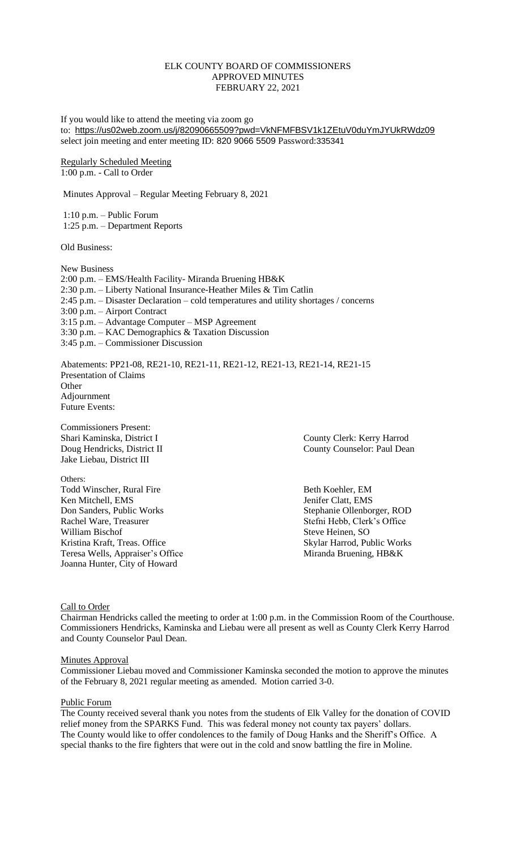## ELK COUNTY BOARD OF COMMISSIONERS APPROVED MINUTES FEBRUARY 22, 2021

If you would like to attend the meeting via zoom go to: <https://us02web.zoom.us/j/82090665509?pwd=VkNFMFBSV1k1ZEtuV0duYmJYUkRWdz09> select join meeting and enter meeting ID: 820 9066 5509 Password:335341

Regularly Scheduled Meeting 1:00 p.m. - Call to Order

Minutes Approval – Regular Meeting February 8, 2021

1:10 p.m. – Public Forum 1:25 p.m. – Department Reports

Old Business:

New Business 2:00 p.m. – EMS/Health Facility- Miranda Bruening HB&K 2:30 p.m. – Liberty National Insurance-Heather Miles & Tim Catlin 2:45 p.m. – Disaster Declaration – cold temperatures and utility shortages / concerns 3:00 p.m. – Airport Contract 3:15 p.m. – Advantage Computer – MSP Agreement 3:30 p.m. – KAC Demographics & Taxation Discussion 3:45 p.m. – Commissioner Discussion

Abatements: PP21-08, RE21-10, RE21-11, RE21-12, RE21-13, RE21-14, RE21-15 Presentation of Claims **Other** Adjournment Future Events:

Commissioners Present: Jake Liebau, District III

Others: Todd Winscher, Rural Fire Beth Koehler, EM Ken Mitchell, EMS<br>
Don Sanders, Public Works<br>
Stephanie Ollenbor Don Sanders, Public Works<br>
Rachel Ware, Treasurer Stephanie Ollenborger, ROD<br>
Stefni Hebb, Clerk's Office William Bischof Steve Heinen, SO Kristina Kraft, Treas. Office Skylar Harrod, Public Works Teresa Wells, Appraiser's Office Miranda Bruening, HB&K Joanna Hunter, City of Howard

Shari Kaminska, District I County Clerk: Kerry Harrod Doug Hendricks, District II County Counselor: Paul Dean

Stefni Hebb, Clerk's Office

Call to Order

Chairman Hendricks called the meeting to order at 1:00 p.m. in the Commission Room of the Courthouse. Commissioners Hendricks, Kaminska and Liebau were all present as well as County Clerk Kerry Harrod and County Counselor Paul Dean.

## **Minutes Approval**

Commissioner Liebau moved and Commissioner Kaminska seconded the motion to approve the minutes of the February 8, 2021 regular meeting as amended. Motion carried 3-0.

## Public Forum

The County received several thank you notes from the students of Elk Valley for the donation of COVID relief money from the SPARKS Fund. This was federal money not county tax payers' dollars. The County would like to offer condolences to the family of Doug Hanks and the Sheriff's Office. A special thanks to the fire fighters that were out in the cold and snow battling the fire in Moline.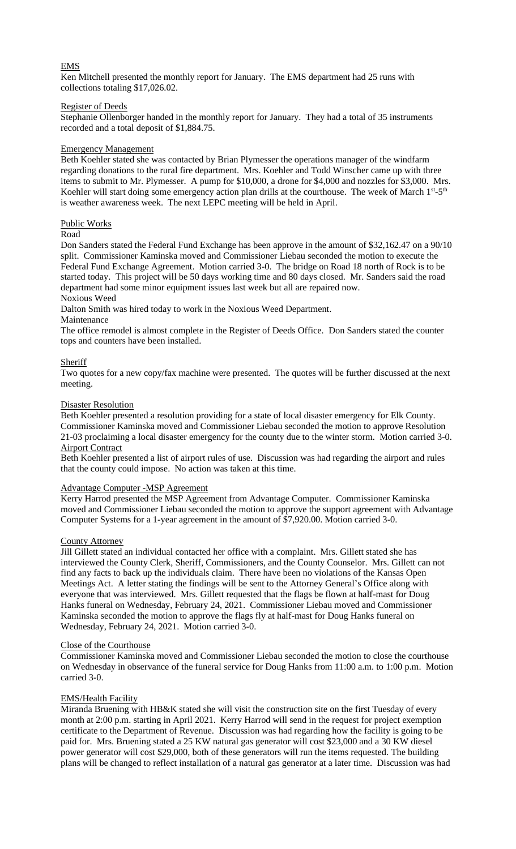# EMS

Ken Mitchell presented the monthly report for January. The EMS department had 25 runs with collections totaling \$17,026.02.

## Register of Deeds

Stephanie Ollenborger handed in the monthly report for January. They had a total of 35 instruments recorded and a total deposit of \$1,884.75.

## Emergency Management

Beth Koehler stated she was contacted by Brian Plymesser the operations manager of the windfarm regarding donations to the rural fire department. Mrs. Koehler and Todd Winscher came up with three items to submit to Mr. Plymesser. A pump for \$10,000, a drone for \$4,000 and nozzles for \$3,000. Mrs. Koehler will start doing some emergency action plan drills at the courthouse. The week of March 1<sup>st</sup>-5<sup>th</sup> is weather awareness week. The next LEPC meeting will be held in April.

## Public Works

## Road

Don Sanders stated the Federal Fund Exchange has been approve in the amount of \$32,162.47 on a 90/10 split. Commissioner Kaminska moved and Commissioner Liebau seconded the motion to execute the Federal Fund Exchange Agreement. Motion carried 3-0. The bridge on Road 18 north of Rock is to be started today. This project will be 50 days working time and 80 days closed. Mr. Sanders said the road department had some minor equipment issues last week but all are repaired now.

# Noxious Weed

Dalton Smith was hired today to work in the Noxious Weed Department.

## Maintenance

The office remodel is almost complete in the Register of Deeds Office. Don Sanders stated the counter tops and counters have been installed.

## Sheriff

Two quotes for a new copy/fax machine were presented. The quotes will be further discussed at the next meeting.

## Disaster Resolution

Beth Koehler presented a resolution providing for a state of local disaster emergency for Elk County. Commissioner Kaminska moved and Commissioner Liebau seconded the motion to approve Resolution 21-03 proclaiming a local disaster emergency for the county due to the winter storm. Motion carried 3-0. Airport Contract

Beth Koehler presented a list of airport rules of use. Discussion was had regarding the airport and rules that the county could impose. No action was taken at this time.

## Advantage Computer -MSP Agreement

Kerry Harrod presented the MSP Agreement from Advantage Computer. Commissioner Kaminska moved and Commissioner Liebau seconded the motion to approve the support agreement with Advantage Computer Systems for a 1-year agreement in the amount of \$7,920.00. Motion carried 3-0.

## County Attorney

Jill Gillett stated an individual contacted her office with a complaint. Mrs. Gillett stated she has interviewed the County Clerk, Sheriff, Commissioners, and the County Counselor. Mrs. Gillett can not find any facts to back up the individuals claim. There have been no violations of the Kansas Open Meetings Act. A letter stating the findings will be sent to the Attorney General's Office along with everyone that was interviewed. Mrs. Gillett requested that the flags be flown at half-mast for Doug Hanks funeral on Wednesday, February 24, 2021. Commissioner Liebau moved and Commissioner Kaminska seconded the motion to approve the flags fly at half-mast for Doug Hanks funeral on Wednesday, February 24, 2021. Motion carried 3-0.

## Close of the Courthouse

Commissioner Kaminska moved and Commissioner Liebau seconded the motion to close the courthouse on Wednesday in observance of the funeral service for Doug Hanks from 11:00 a.m. to 1:00 p.m. Motion carried 3-0.

## EMS/Health Facility

Miranda Bruening with HB&K stated she will visit the construction site on the first Tuesday of every month at 2:00 p.m. starting in April 2021. Kerry Harrod will send in the request for project exemption certificate to the Department of Revenue. Discussion was had regarding how the facility is going to be paid for. Mrs. Bruening stated a 25 KW natural gas generator will cost \$23,000 and a 30 KW diesel power generator will cost \$29,000, both of these generators will run the items requested. The building plans will be changed to reflect installation of a natural gas generator at a later time. Discussion was had